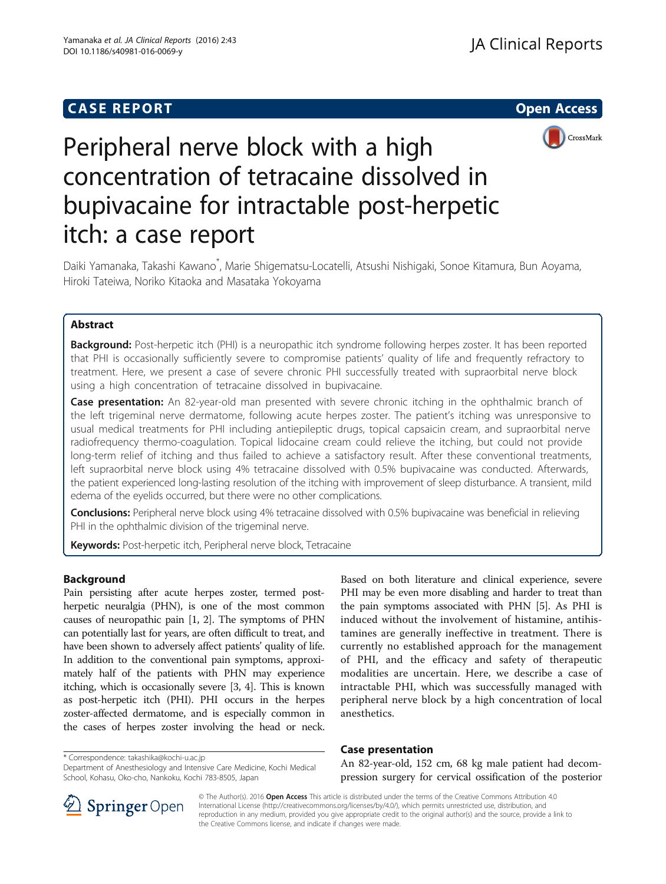# **CASE REPORT And SERVICE SERVICE SERVICE SERVICE SERVICE SERVICE SERVICE SERVICE SERVICE SERVICE SERVICE SERVICE**



# Peripheral nerve block with a high concentration of tetracaine dissolved in bupivacaine for intractable post-herpetic itch: a case report

Daiki Yamanaka, Takashi Kawano<sup>\*</sup>, Marie Shigematsu-Locatelli, Atsushi Nishigaki, Sonoe Kitamura, Bun Aoyama, Hiroki Tateiwa, Noriko Kitaoka and Masataka Yokoyama

# Abstract

Background: Post-herpetic itch (PHI) is a neuropathic itch syndrome following herpes zoster. It has been reported that PHI is occasionally sufficiently severe to compromise patients' quality of life and frequently refractory to treatment. Here, we present a case of severe chronic PHI successfully treated with supraorbital nerve block using a high concentration of tetracaine dissolved in bupivacaine.

Case presentation: An 82-year-old man presented with severe chronic itching in the ophthalmic branch of the left trigeminal nerve dermatome, following acute herpes zoster. The patient's itching was unresponsive to usual medical treatments for PHI including antiepileptic drugs, topical capsaicin cream, and supraorbital nerve radiofrequency thermo-coagulation. Topical lidocaine cream could relieve the itching, but could not provide long-term relief of itching and thus failed to achieve a satisfactory result. After these conventional treatments, left supraorbital nerve block using 4% tetracaine dissolved with 0.5% bupivacaine was conducted. Afterwards, the patient experienced long-lasting resolution of the itching with improvement of sleep disturbance. A transient, mild edema of the eyelids occurred, but there were no other complications.

Conclusions: Peripheral nerve block using 4% tetracaine dissolved with 0.5% bupivacaine was beneficial in relieving PHI in the ophthalmic division of the trigeminal nerve.

Keywords: Post-herpetic itch, Peripheral nerve block, Tetracaine

## Background

Pain persisting after acute herpes zoster, termed postherpetic neuralgia (PHN), is one of the most common causes of neuropathic pain [\[1](#page-3-0), [2\]](#page-3-0). The symptoms of PHN can potentially last for years, are often difficult to treat, and have been shown to adversely affect patients' quality of life. In addition to the conventional pain symptoms, approximately half of the patients with PHN may experience itching, which is occasionally severe [[3, 4\]](#page-3-0). This is known as post-herpetic itch (PHI). PHI occurs in the herpes zoster-affected dermatome, and is especially common in the cases of herpes zoster involving the head or neck.

\* Correspondence: [takashika@kochi-u.ac.jp](mailto:takashika@kochi-u.ac.jp)

Department of Anesthesiology and Intensive Care Medicine, Kochi Medical School, Kohasu, Oko-cho, Nankoku, Kochi 783-8505, Japan

Based on both literature and clinical experience, severe PHI may be even more disabling and harder to treat than the pain symptoms associated with PHN [\[5](#page-3-0)]. As PHI is induced without the involvement of histamine, antihistamines are generally ineffective in treatment. There is currently no established approach for the management of PHI, and the efficacy and safety of therapeutic modalities are uncertain. Here, we describe a case of intractable PHI, which was successfully managed with peripheral nerve block by a high concentration of local anesthetics.

## Case presentation

An 82-year-old, 152 cm, 68 kg male patient had decompression surgery for cervical ossification of the posterior



© The Author(s). 2016 Open Access This article is distributed under the terms of the Creative Commons Attribution 4.0 International License ([http://creativecommons.org/licenses/by/4.0/\)](http://creativecommons.org/licenses/by/4.0/), which permits unrestricted use, distribution, and reproduction in any medium, provided you give appropriate credit to the original author(s) and the source, provide a link to the Creative Commons license, and indicate if changes were made.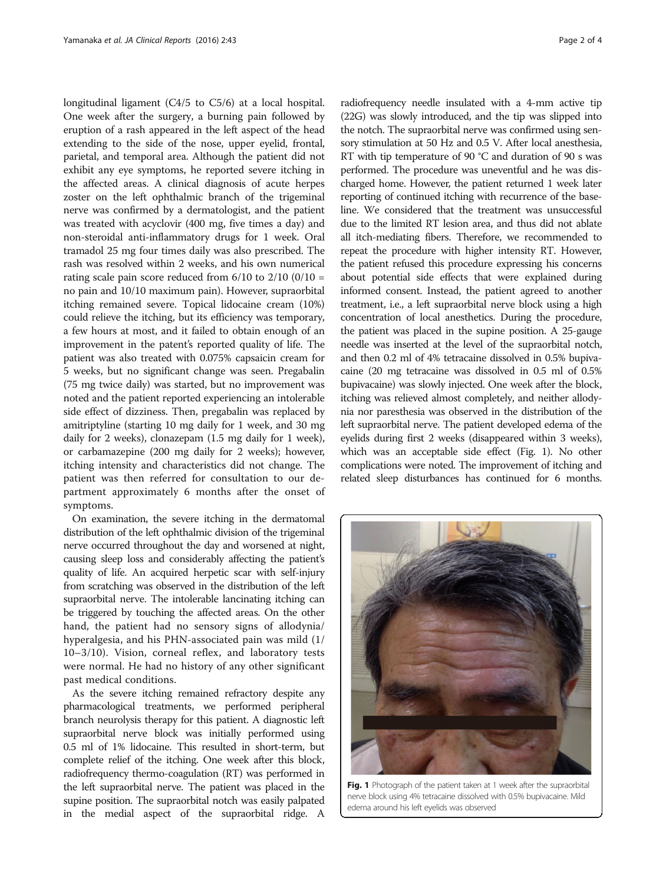longitudinal ligament (C4/5 to C5/6) at a local hospital. One week after the surgery, a burning pain followed by eruption of a rash appeared in the left aspect of the head extending to the side of the nose, upper eyelid, frontal, parietal, and temporal area. Although the patient did not exhibit any eye symptoms, he reported severe itching in the affected areas. A clinical diagnosis of acute herpes zoster on the left ophthalmic branch of the trigeminal nerve was confirmed by a dermatologist, and the patient was treated with acyclovir (400 mg, five times a day) and non-steroidal anti-inflammatory drugs for 1 week. Oral tramadol 25 mg four times daily was also prescribed. The rash was resolved within 2 weeks, and his own numerical rating scale pain score reduced from  $6/10$  to  $2/10$   $(0/10 =$ no pain and 10/10 maximum pain). However, supraorbital itching remained severe. Topical lidocaine cream (10%) could relieve the itching, but its efficiency was temporary, a few hours at most, and it failed to obtain enough of an improvement in the patent's reported quality of life. The patient was also treated with 0.075% capsaicin cream for 5 weeks, but no significant change was seen. Pregabalin (75 mg twice daily) was started, but no improvement was noted and the patient reported experiencing an intolerable side effect of dizziness. Then, pregabalin was replaced by amitriptyline (starting 10 mg daily for 1 week, and 30 mg daily for 2 weeks), clonazepam (1.5 mg daily for 1 week), or carbamazepine (200 mg daily for 2 weeks); however, itching intensity and characteristics did not change. The patient was then referred for consultation to our department approximately 6 months after the onset of symptoms.

On examination, the severe itching in the dermatomal distribution of the left ophthalmic division of the trigeminal nerve occurred throughout the day and worsened at night, causing sleep loss and considerably affecting the patient's quality of life. An acquired herpetic scar with self-injury from scratching was observed in the distribution of the left supraorbital nerve. The intolerable lancinating itching can be triggered by touching the affected areas. On the other hand, the patient had no sensory signs of allodynia/ hyperalgesia, and his PHN-associated pain was mild (1/ 10–3/10). Vision, corneal reflex, and laboratory tests were normal. He had no history of any other significant past medical conditions.

As the severe itching remained refractory despite any pharmacological treatments, we performed peripheral branch neurolysis therapy for this patient. A diagnostic left supraorbital nerve block was initially performed using 0.5 ml of 1% lidocaine. This resulted in short-term, but complete relief of the itching. One week after this block, radiofrequency thermo-coagulation (RT) was performed in the left supraorbital nerve. The patient was placed in the supine position. The supraorbital notch was easily palpated in the medial aspect of the supraorbital ridge. A

radiofrequency needle insulated with a 4-mm active tip (22G) was slowly introduced, and the tip was slipped into the notch. The supraorbital nerve was confirmed using sensory stimulation at 50 Hz and 0.5 V. After local anesthesia, RT with tip temperature of 90 °C and duration of 90 s was performed. The procedure was uneventful and he was discharged home. However, the patient returned 1 week later reporting of continued itching with recurrence of the baseline. We considered that the treatment was unsuccessful due to the limited RT lesion area, and thus did not ablate all itch-mediating fibers. Therefore, we recommended to repeat the procedure with higher intensity RT. However, the patient refused this procedure expressing his concerns about potential side effects that were explained during informed consent. Instead, the patient agreed to another treatment, i.e., a left supraorbital nerve block using a high concentration of local anesthetics. During the procedure, the patient was placed in the supine position. A 25-gauge needle was inserted at the level of the supraorbital notch, and then 0.2 ml of 4% tetracaine dissolved in 0.5% bupivacaine (20 mg tetracaine was dissolved in 0.5 ml of 0.5% bupivacaine) was slowly injected. One week after the block, itching was relieved almost completely, and neither allodynia nor paresthesia was observed in the distribution of the left supraorbital nerve. The patient developed edema of the eyelids during first 2 weeks (disappeared within 3 weeks), which was an acceptable side effect (Fig. 1). No other complications were noted. The improvement of itching and related sleep disturbances has continued for 6 months.



Fig. 1 Photograph of the patient taken at 1 week after the supraorbital nerve block using 4% tetracaine dissolved with 0.5% bupivacaine. Mild edema around his left eyelids was observed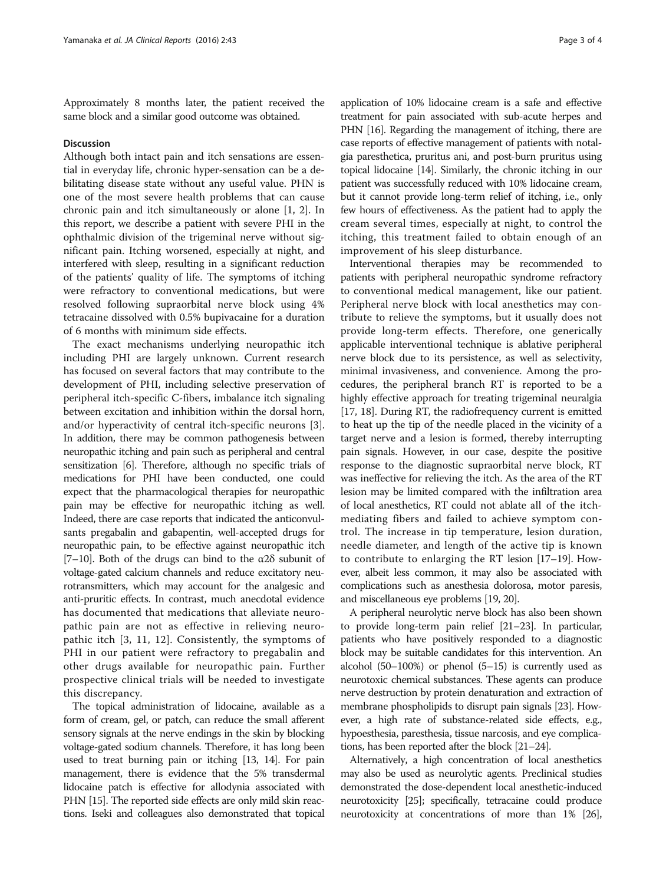Approximately 8 months later, the patient received the same block and a similar good outcome was obtained.

#### **Discussion**

Although both intact pain and itch sensations are essential in everyday life, chronic hyper-sensation can be a debilitating disease state without any useful value. PHN is one of the most severe health problems that can cause chronic pain and itch simultaneously or alone [[1, 2\]](#page-3-0). In this report, we describe a patient with severe PHI in the ophthalmic division of the trigeminal nerve without significant pain. Itching worsened, especially at night, and interfered with sleep, resulting in a significant reduction of the patients' quality of life. The symptoms of itching were refractory to conventional medications, but were resolved following supraorbital nerve block using 4% tetracaine dissolved with 0.5% bupivacaine for a duration of 6 months with minimum side effects.

The exact mechanisms underlying neuropathic itch including PHI are largely unknown. Current research has focused on several factors that may contribute to the development of PHI, including selective preservation of peripheral itch-specific C-fibers, imbalance itch signaling between excitation and inhibition within the dorsal horn, and/or hyperactivity of central itch-specific neurons [\[3](#page-3-0)]. In addition, there may be common pathogenesis between neuropathic itching and pain such as peripheral and central sensitization [[6](#page-3-0)]. Therefore, although no specific trials of medications for PHI have been conducted, one could expect that the pharmacological therapies for neuropathic pain may be effective for neuropathic itching as well. Indeed, there are case reports that indicated the anticonvulsants pregabalin and gabapentin, well-accepted drugs for neuropathic pain, to be effective against neuropathic itch [[7](#page-3-0)–[10\]](#page-3-0). Both of the drugs can bind to the  $\alpha$ 2 $\delta$  subunit of voltage-gated calcium channels and reduce excitatory neurotransmitters, which may account for the analgesic and anti-pruritic effects. In contrast, much anecdotal evidence has documented that medications that alleviate neuropathic pain are not as effective in relieving neuropathic itch [\[3, 11](#page-3-0), [12\]](#page-3-0). Consistently, the symptoms of PHI in our patient were refractory to pregabalin and other drugs available for neuropathic pain. Further prospective clinical trials will be needed to investigate this discrepancy.

The topical administration of lidocaine, available as a form of cream, gel, or patch, can reduce the small afferent sensory signals at the nerve endings in the skin by blocking voltage-gated sodium channels. Therefore, it has long been used to treat burning pain or itching [\[13](#page-3-0), [14\]](#page-3-0). For pain management, there is evidence that the 5% transdermal lidocaine patch is effective for allodynia associated with PHN [\[15\]](#page-3-0). The reported side effects are only mild skin reactions. Iseki and colleagues also demonstrated that topical

application of 10% lidocaine cream is a safe and effective treatment for pain associated with sub-acute herpes and PHN [[16](#page-3-0)]. Regarding the management of itching, there are case reports of effective management of patients with notalgia paresthetica, pruritus ani, and post-burn pruritus using topical lidocaine [\[14](#page-3-0)]. Similarly, the chronic itching in our patient was successfully reduced with 10% lidocaine cream, but it cannot provide long-term relief of itching, i.e., only few hours of effectiveness. As the patient had to apply the cream several times, especially at night, to control the itching, this treatment failed to obtain enough of an improvement of his sleep disturbance.

Interventional therapies may be recommended to patients with peripheral neuropathic syndrome refractory to conventional medical management, like our patient. Peripheral nerve block with local anesthetics may contribute to relieve the symptoms, but it usually does not provide long-term effects. Therefore, one generically applicable interventional technique is ablative peripheral nerve block due to its persistence, as well as selectivity, minimal invasiveness, and convenience. Among the procedures, the peripheral branch RT is reported to be a highly effective approach for treating trigeminal neuralgia [[17](#page-3-0), [18](#page-3-0)]. During RT, the radiofrequency current is emitted to heat up the tip of the needle placed in the vicinity of a target nerve and a lesion is formed, thereby interrupting pain signals. However, in our case, despite the positive response to the diagnostic supraorbital nerve block, RT was ineffective for relieving the itch. As the area of the RT lesion may be limited compared with the infiltration area of local anesthetics, RT could not ablate all of the itchmediating fibers and failed to achieve symptom control. The increase in tip temperature, lesion duration, needle diameter, and length of the active tip is known to contribute to enlarging the RT lesion [\[17](#page-3-0)–[19\]](#page-3-0). However, albeit less common, it may also be associated with complications such as anesthesia dolorosa, motor paresis, and miscellaneous eye problems [\[19, 20\]](#page-3-0).

A peripheral neurolytic nerve block has also been shown to provide long-term pain relief [\[21](#page-3-0)–[23\]](#page-3-0). In particular, patients who have positively responded to a diagnostic block may be suitable candidates for this intervention. An alcohol (50–100%) or phenol (5–15) is currently used as neurotoxic chemical substances. These agents can produce nerve destruction by protein denaturation and extraction of membrane phospholipids to disrupt pain signals [\[23](#page-3-0)]. However, a high rate of substance-related side effects, e.g., hypoesthesia, paresthesia, tissue narcosis, and eye complications, has been reported after the block [\[21](#page-3-0)–[24](#page-3-0)].

Alternatively, a high concentration of local anesthetics may also be used as neurolytic agents. Preclinical studies demonstrated the dose-dependent local anesthetic-induced neurotoxicity [\[25\]](#page-3-0); specifically, tetracaine could produce neurotoxicity at concentrations of more than 1% [\[26](#page-3-0)],